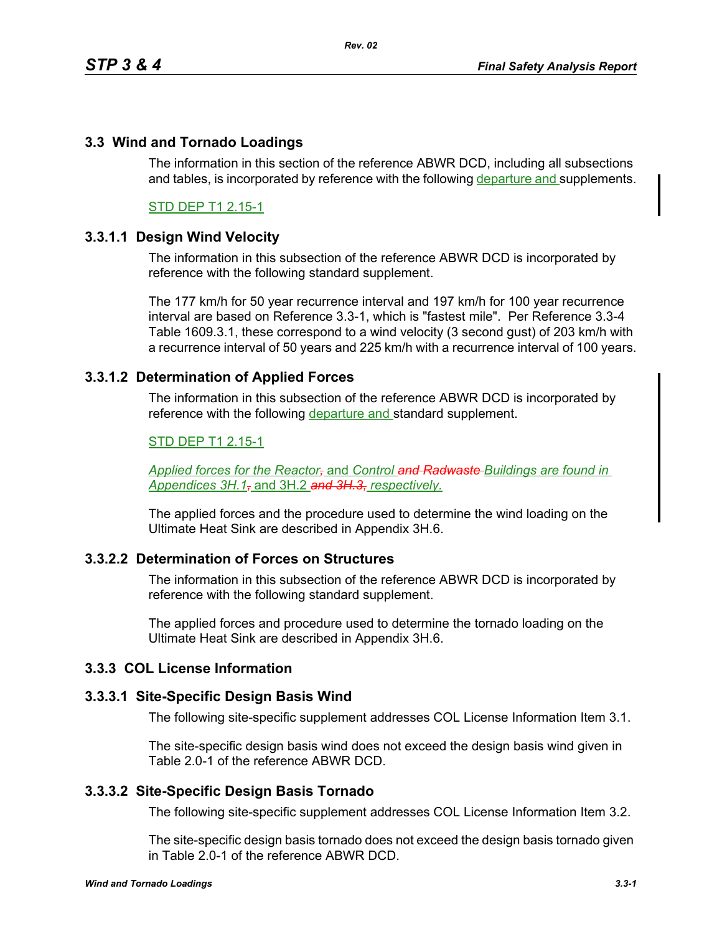## **3.3 Wind and Tornado Loadings**

The information in this section of the reference ABWR DCD, including all subsections and tables, is incorporated by reference with the following departure and supplements.

## STD DEP T1 2.15-1

## **3.3.1.1 Design Wind Velocity**

The information in this subsection of the reference ABWR DCD is incorporated by reference with the following standard supplement.

The 177 km/h for 50 year recurrence interval and 197 km/h for 100 year recurrence interval are based on Reference 3.3-1, which is "fastest mile". Per Reference 3.3-4 Table 1609.3.1, these correspond to a wind velocity (3 second gust) of 203 km/h with a recurrence interval of 50 years and 225 km/h with a recurrence interval of 100 years.

## **3.3.1.2 Determination of Applied Forces**

The information in this subsection of the reference ABWR DCD is incorporated by reference with the following departure and standard supplement.

### STD DEP T1 2.15-1

*Applied forces for the Reactor,* and *Control and Radwaste Buildings are found in Appendices 3H.1,* and 3H.2 *and 3H.3, respectively.*

The applied forces and the procedure used to determine the wind loading on the Ultimate Heat Sink are described in Appendix 3H.6.

## **3.3.2.2 Determination of Forces on Structures**

The information in this subsection of the reference ABWR DCD is incorporated by reference with the following standard supplement.

The applied forces and procedure used to determine the tornado loading on the Ultimate Heat Sink are described in Appendix 3H.6.

# **3.3.3 COL License Information**

#### **3.3.3.1 Site-Specific Design Basis Wind**

The following site-specific supplement addresses COL License Information Item 3.1.

The site-specific design basis wind does not exceed the design basis wind given in Table 2.0-1 of the reference ABWR DCD.

## **3.3.3.2 Site-Specific Design Basis Tornado**

The following site-specific supplement addresses COL License Information Item 3.2.

The site-specific design basis tornado does not exceed the design basis tornado given in Table 2.0-1 of the reference ABWR DCD.